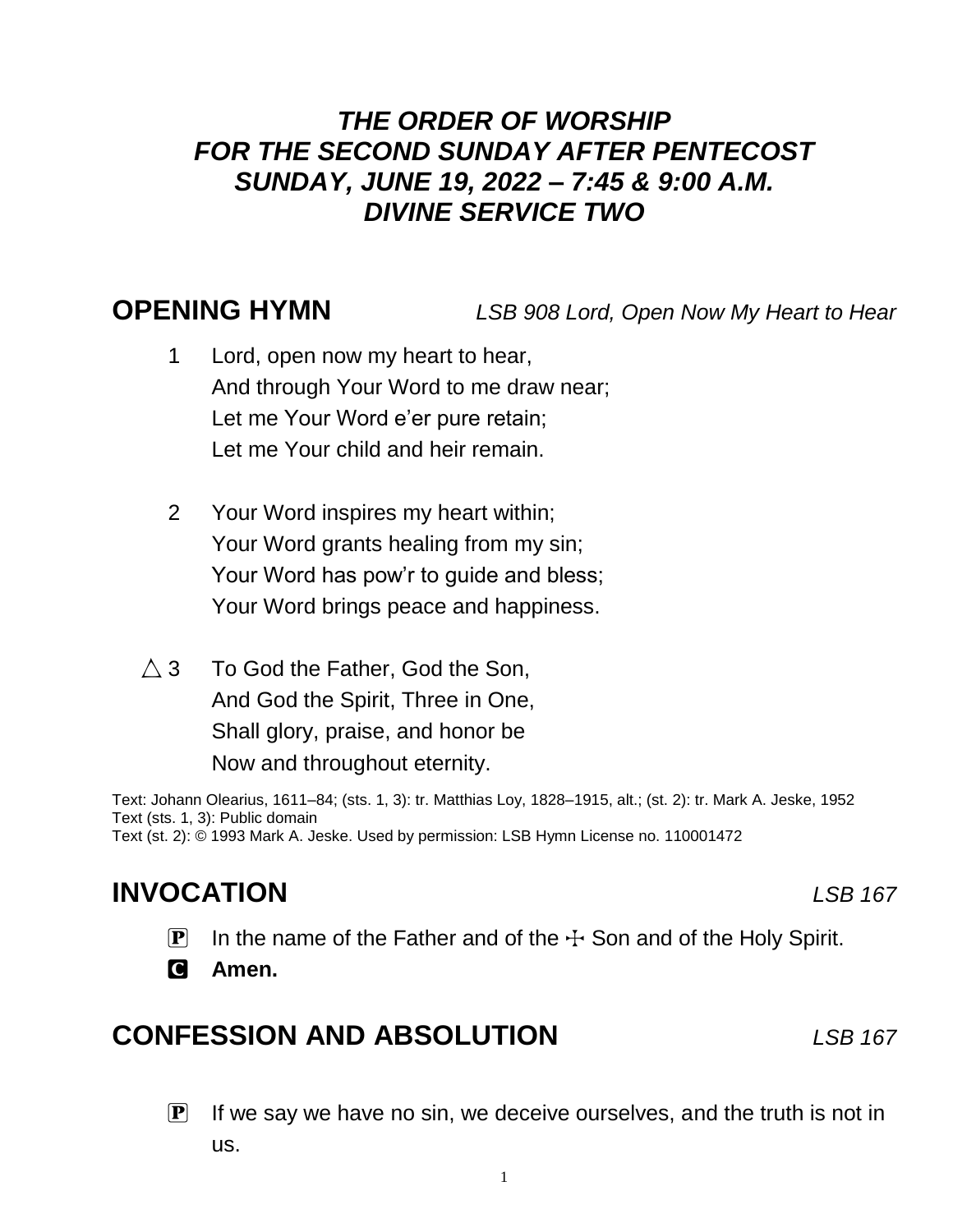### *THE ORDER OF WORSHIP FOR THE SECOND SUNDAY AFTER PENTECOST SUNDAY, JUNE 19, 2022 – 7:45 & 9:00 A.M. DIVINE SERVICE TWO*

**OPENING HYMN** *LSB 908 Lord, Open Now My Heart to Hear*

- 1 Lord, open now my heart to hear, And through Your Word to me draw near; Let me Your Word e'er pure retain; Let me Your child and heir remain.
- 2 Your Word inspires my heart within; Your Word grants healing from my sin; Your Word has pow'r to guide and bless; Your Word brings peace and happiness.
- $\triangle$  3 To God the Father, God the Son, And God the Spirit, Three in One, Shall glory, praise, and honor be Now and throughout eternity.

Text: Johann Olearius, 1611–84; (sts. 1, 3): tr. Matthias Loy, 1828–1915, alt.; (st. 2): tr. Mark A. Jeske, 1952 Text (sts. 1, 3): Public domain Text (st. 2): © 1993 Mark A. Jeske. Used by permission: LSB Hymn License no. 110001472

# **INVOCATION** *LSB 167*

- **P** In the name of the Father and of the  $\div$  Son and of the Holy Spirit.
- C **Amen.**

# **CONFESSION AND ABSOLUTION** *LSB 167*

 $\mathbf{P}$  If we say we have no sin, we deceive ourselves, and the truth is not in us.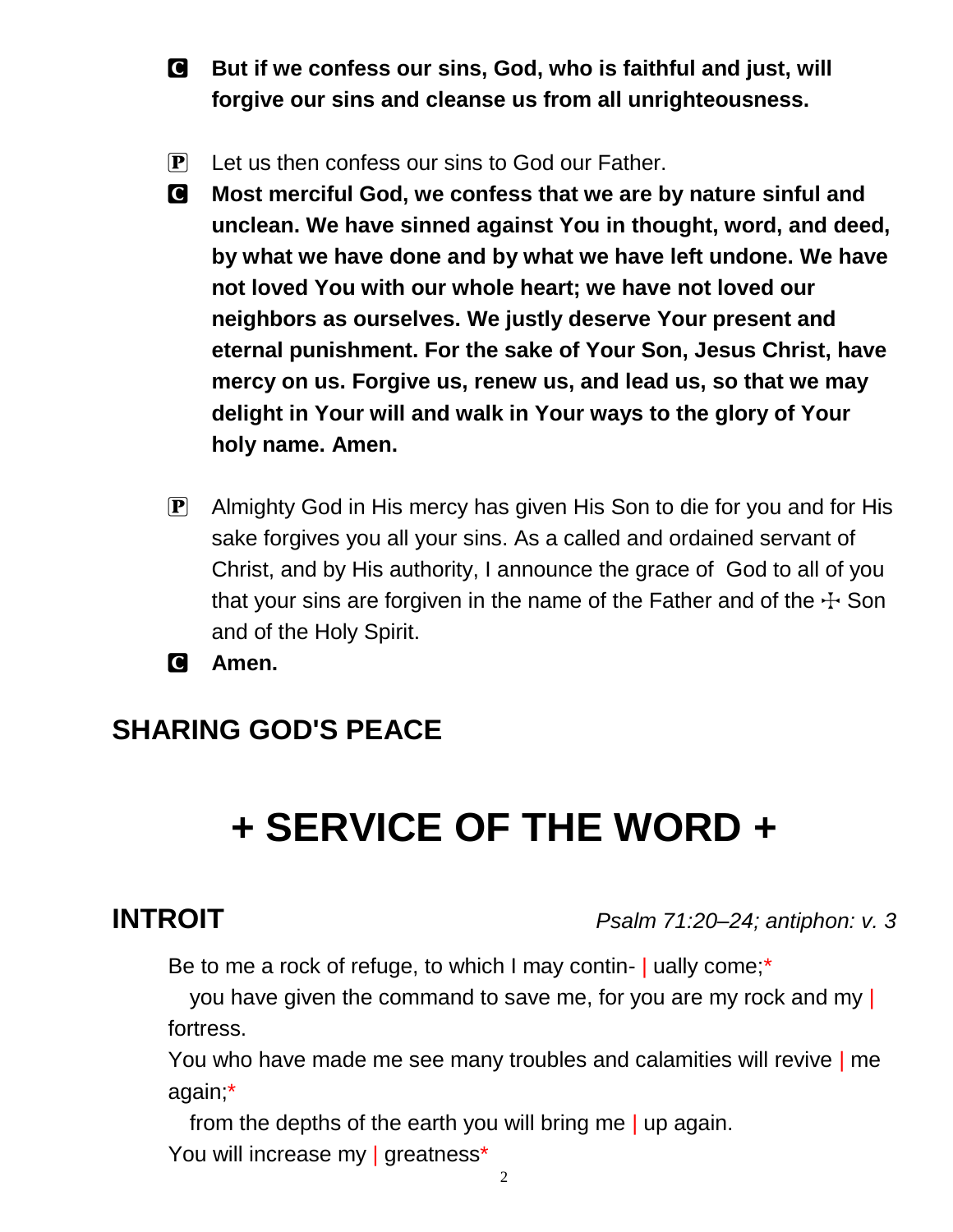C **But if we confess our sins, God, who is faithful and just, will forgive our sins and cleanse us from all unrighteousness.**

- $\mathbf{P}$  Let us then confess our sins to God our Father.
- C **Most merciful God, we confess that we are by nature sinful and unclean. We have sinned against You in thought, word, and deed, by what we have done and by what we have left undone. We have not loved You with our whole heart; we have not loved our neighbors as ourselves. We justly deserve Your present and eternal punishment. For the sake of Your Son, Jesus Christ, have mercy on us. Forgive us, renew us, and lead us, so that we may delight in Your will and walk in Your ways to the glory of Your holy name. Amen.**
- **P** Almighty God in His mercy has given His Son to die for you and for His sake forgives you all your sins. As a called and ordained servant of Christ, and by His authority, I announce the grace of God to all of you that your sins are forgiven in the name of the Father and of the  $\pm$  Son and of the Holy Spirit.

C **Amen.**

## **SHARING GOD'S PEACE**

# **+ SERVICE OF THE WORD +**

**INTROIT** *Psalm 71:20–24; antiphon: v. 3*

Be to me a rock of refuge, to which I may contin- | ually come;\*

you have given the command to save me, for you are my rock and my | fortress.

You who have made me see many troubles and calamities will revive | me again;\*

from the depths of the earth you will bring me | up again. You will increase my | greatness\*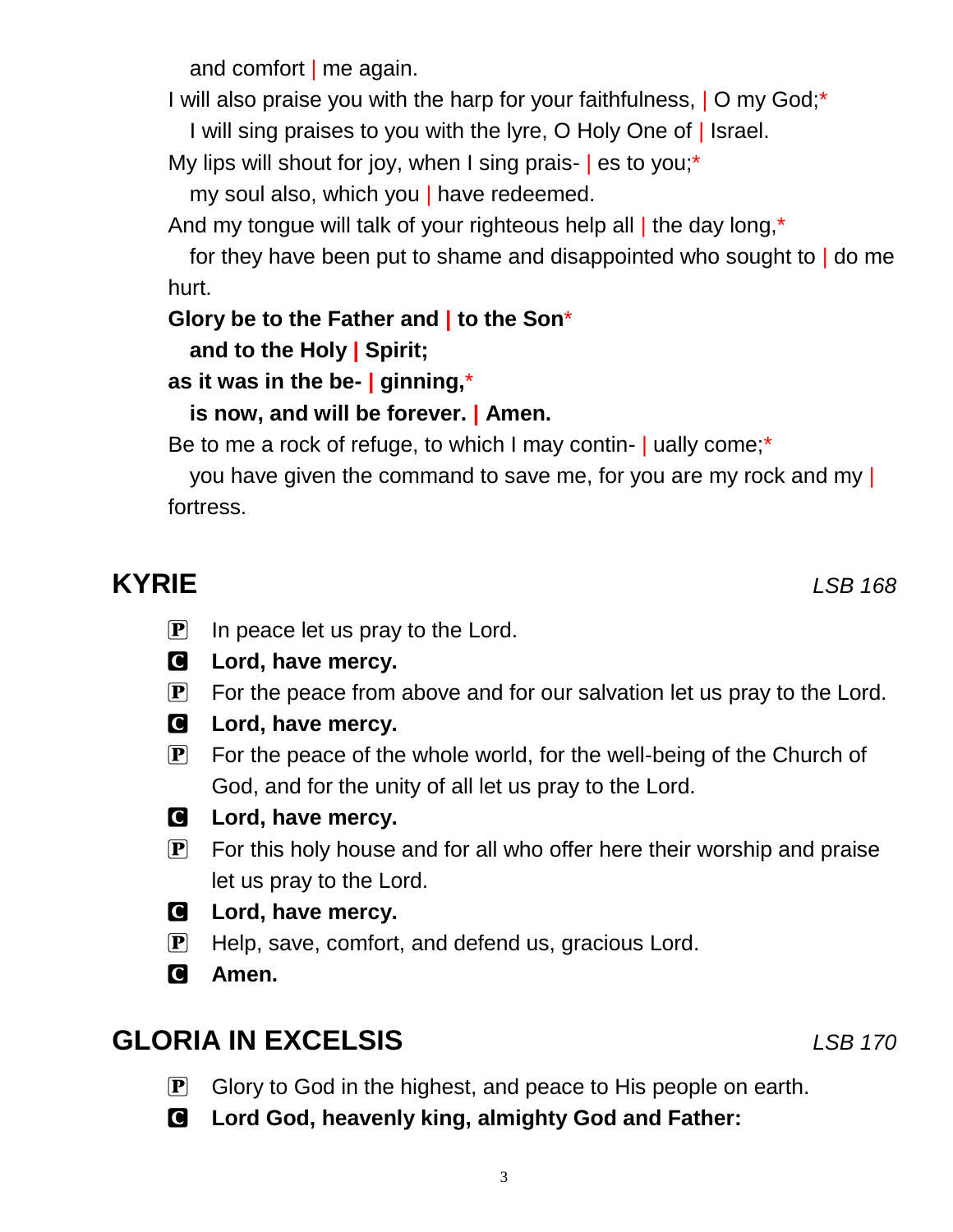and comfort | me again.

I will also praise you with the harp for your faithfulness, | O my God;\*

I will sing praises to you with the lyre, O Holy One of | Israel.

My lips will shout for joy, when I sing prais- les to you;<sup>\*</sup>

my soul also, which you | have redeemed.

And my tongue will talk of your righteous help all I the day long,\*

for they have been put to shame and disappointed who sought to | do me hurt.

### **Glory be to the Father and | to the Son**\*

### **and to the Holy | Spirit;**

**as it was in the be- | ginning,**\*

### **is now, and will be forever. | Amen.**

Be to me a rock of refuge, to which I may contin- ually come;<sup>\*</sup>

you have given the command to save me, for you are my rock and my | fortress.

# **KYRIE** *LSB 168*

- $\mathbf{P}$  In peace let us pray to the Lord.
- C **Lord, have mercy.**
- $\left| \mathbf{P} \right|$  For the peace from above and for our salvation let us pray to the Lord.
- C **Lord, have mercy.**
- $\mathbf{P}$  For the peace of the whole world, for the well-being of the Church of God, and for the unity of all let us pray to the Lord.
- C **Lord, have mercy.**
- $\mathbf{P}$  For this holy house and for all who offer here their worship and praise let us pray to the Lord.
- C **Lord, have mercy.**
- $\mathbf{P}$  Help, save, comfort, and defend us, gracious Lord.
- C **Amen.**

# **GLORIA IN EXCELSIS** *LSB 170*

- $\mathbf{P}$  Glory to God in the highest, and peace to His people on earth.
- C **Lord God, heavenly king, almighty God and Father:**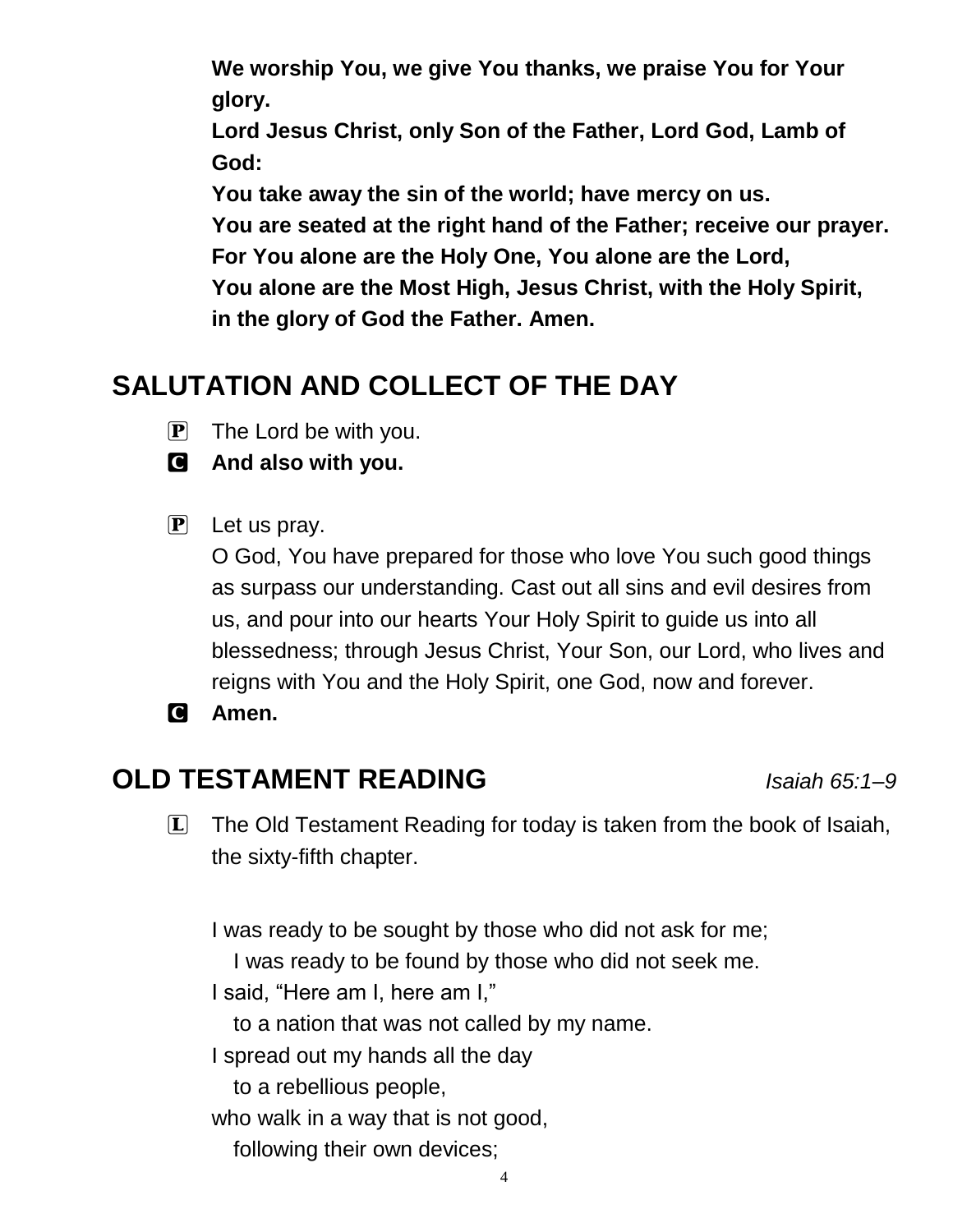**We worship You, we give You thanks, we praise You for Your glory.**

**Lord Jesus Christ, only Son of the Father, Lord God, Lamb of God:**

**You take away the sin of the world; have mercy on us.**

**You are seated at the right hand of the Father; receive our prayer. For You alone are the Holy One, You alone are the Lord, You alone are the Most High, Jesus Christ, with the Holy Spirit, in the glory of God the Father. Amen.**

# **SALUTATION AND COLLECT OF THE DAY**

 $\left| \mathbf{P} \right|$  The Lord be with you.

C **And also with you.**

 $\mathbf{P}$  Let us pray.

O God, You have prepared for those who love You such good things as surpass our understanding. Cast out all sins and evil desires from us, and pour into our hearts Your Holy Spirit to guide us into all blessedness; through Jesus Christ, Your Son, our Lord, who lives and reigns with You and the Holy Spirit, one God, now and forever.

C **Amen.**

# **OLD TESTAMENT READING** *Isaiah 65:1–9*

L The Old Testament Reading for today is taken from the book of Isaiah, the sixty-fifth chapter.

I was ready to be sought by those who did not ask for me; I was ready to be found by those who did not seek me. I said, "Here am I, here am I," to a nation that was not called by my name. I spread out my hands all the day to a rebellious people, who walk in a way that is not good, following their own devices;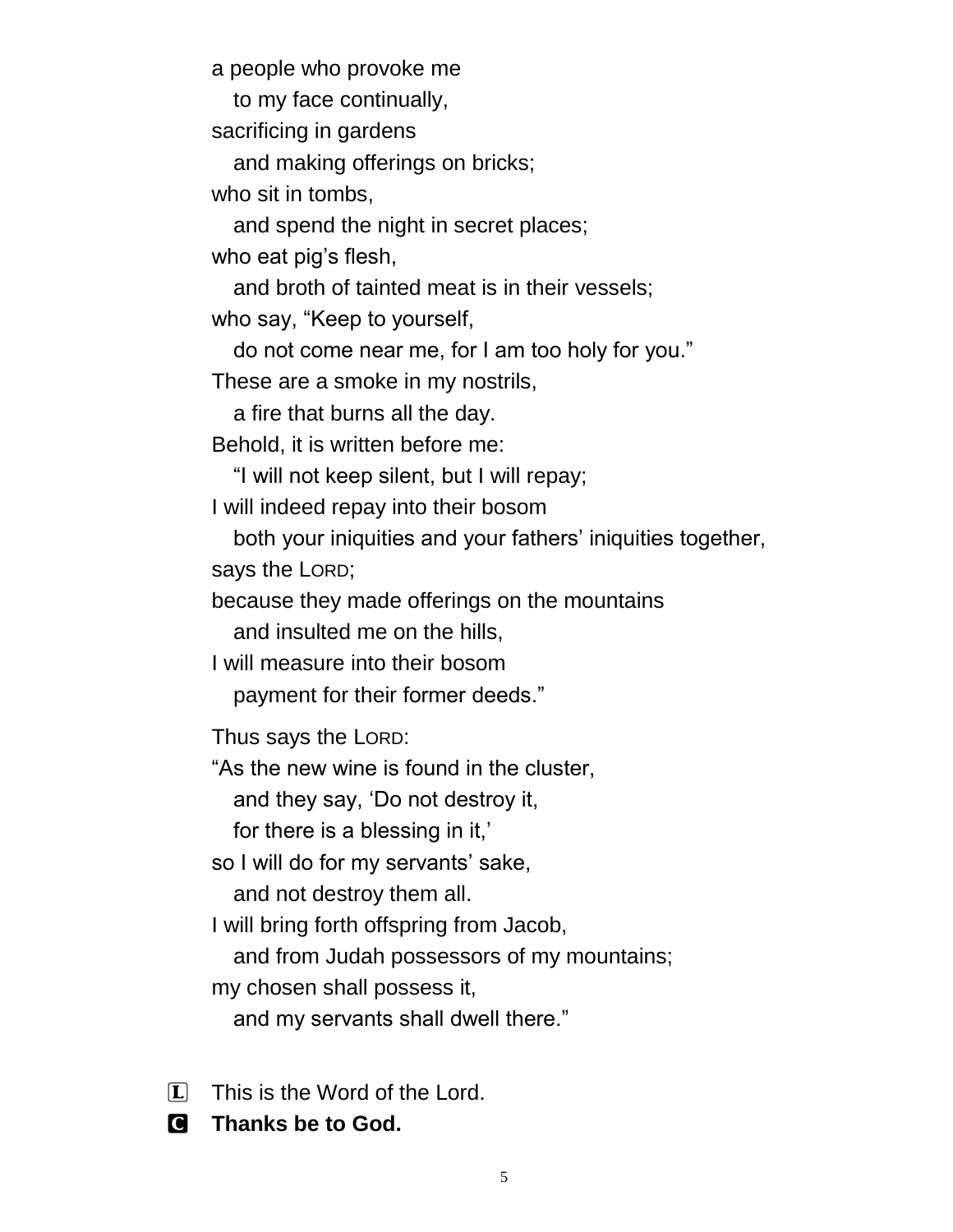a people who provoke me

to my face continually,

sacrificing in gardens

and making offerings on bricks;

who sit in tombs,

and spend the night in secret places;

who eat pig's flesh,

and broth of tainted meat is in their vessels;

who say, "Keep to yourself,

do not come near me, for I am too holy for you."

These are a smoke in my nostrils,

a fire that burns all the day.

Behold, it is written before me:

"I will not keep silent, but I will repay;

I will indeed repay into their bosom

both your iniquities and your fathers' iniquities together, says the LORD;

because they made offerings on the mountains

and insulted me on the hills,

I will measure into their bosom

payment for their former deeds."

Thus says the LORD:

"As the new wine is found in the cluster,

and they say, 'Do not destroy it,

for there is a blessing in it,'

so I will do for my servants' sake,

and not destroy them all.

I will bring forth offspring from Jacob,

and from Judah possessors of my mountains;

my chosen shall possess it,

and my servants shall dwell there."

 $\Box$  This is the Word of the Lord.

C **Thanks be to God.**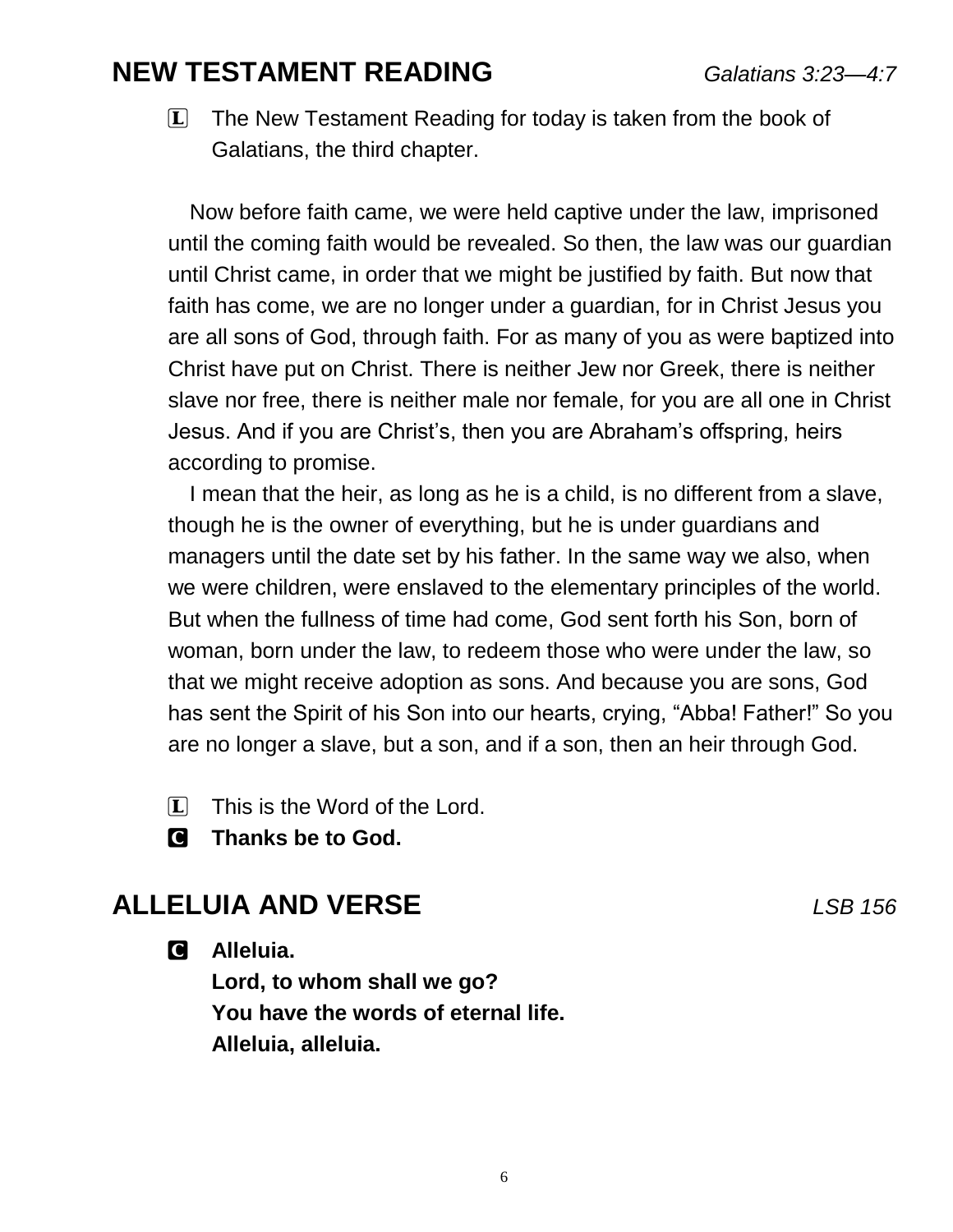### **NEW TESTAMENT READING** *Galatians 3:23—4:7*

 $[L]$  The New Testament Reading for today is taken from the book of Galatians, the third chapter.

Now before faith came, we were held captive under the law, imprisoned until the coming faith would be revealed. So then, the law was our guardian until Christ came, in order that we might be justified by faith. But now that faith has come, we are no longer under a guardian, for in Christ Jesus you are all sons of God, through faith. For as many of you as were baptized into Christ have put on Christ. There is neither Jew nor Greek, there is neither slave nor free, there is neither male nor female, for you are all one in Christ Jesus. And if you are Christ's, then you are Abraham's offspring, heirs according to promise.

I mean that the heir, as long as he is a child, is no different from a slave, though he is the owner of everything, but he is under guardians and managers until the date set by his father. In the same way we also, when we were children, were enslaved to the elementary principles of the world. But when the fullness of time had come, God sent forth his Son, born of woman, born under the law, to redeem those who were under the law, so that we might receive adoption as sons. And because you are sons, God has sent the Spirit of his Son into our hearts, crying, "Abba! Father!" So you are no longer a slave, but a son, and if a son, then an heir through God.

 $\Box$  This is the Word of the Lord.



# **ALLELUIA AND VERSE** *LSB 156*

C **Alleluia.**

**Lord, to whom shall we go? You have the words of eternal life. Alleluia, alleluia.**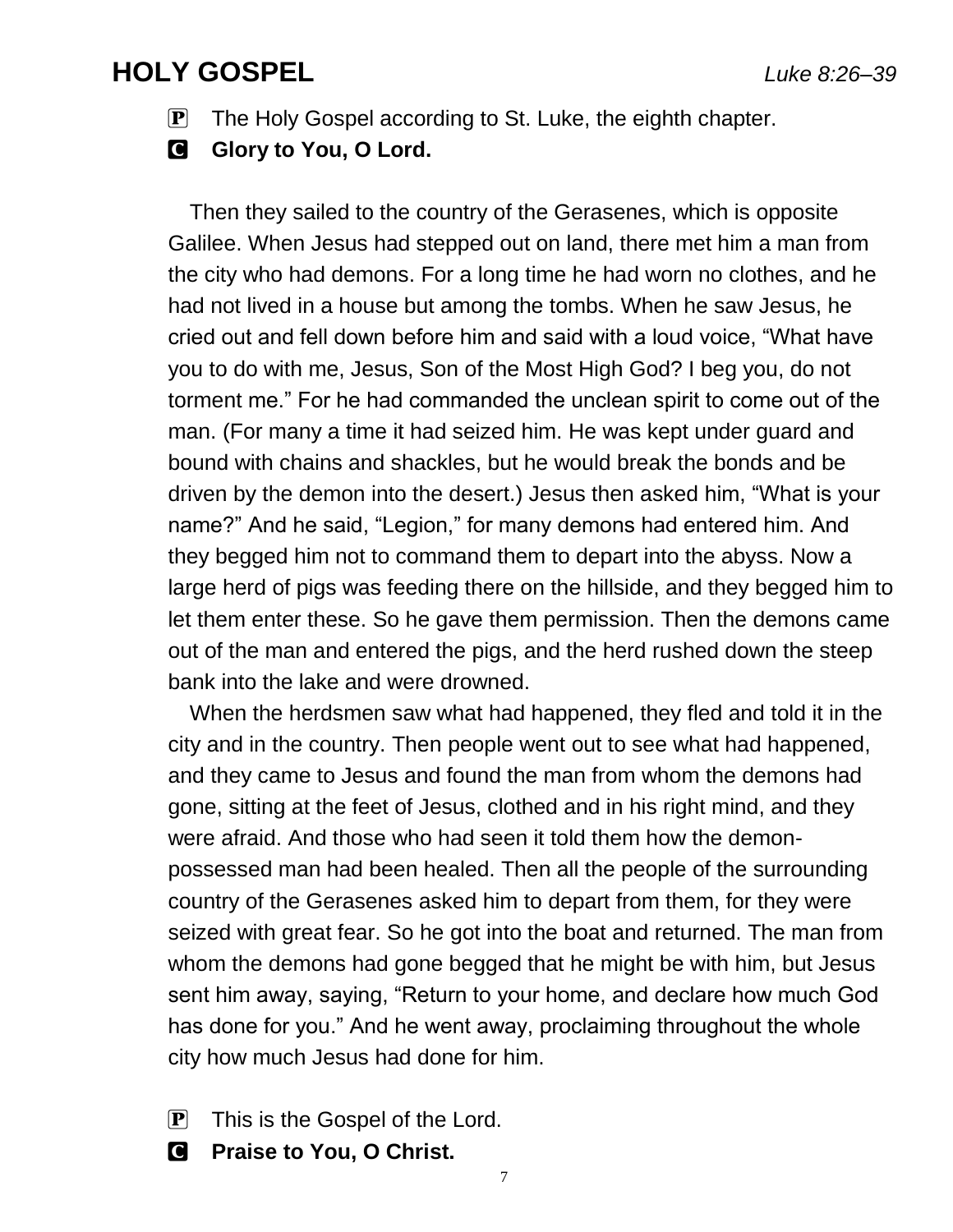## **HOLY GOSPEL** *Luke 8:26–39*

- $\mathbf{P}$  The Holy Gospel according to St. Luke, the eighth chapter.
- **G** Glory to You, O Lord.

Then they sailed to the country of the Gerasenes, which is opposite Galilee. When Jesus had stepped out on land, there met him a man from the city who had demons. For a long time he had worn no clothes, and he had not lived in a house but among the tombs. When he saw Jesus, he cried out and fell down before him and said with a loud voice, "What have you to do with me, Jesus, Son of the Most High God? I beg you, do not torment me." For he had commanded the unclean spirit to come out of the man. (For many a time it had seized him. He was kept under guard and bound with chains and shackles, but he would break the bonds and be driven by the demon into the desert.) Jesus then asked him, "What is your name?" And he said, "Legion," for many demons had entered him. And they begged him not to command them to depart into the abyss. Now a large herd of pigs was feeding there on the hillside, and they begged him to let them enter these. So he gave them permission. Then the demons came out of the man and entered the pigs, and the herd rushed down the steep bank into the lake and were drowned.

When the herdsmen saw what had happened, they fled and told it in the city and in the country. Then people went out to see what had happened, and they came to Jesus and found the man from whom the demons had gone, sitting at the feet of Jesus, clothed and in his right mind, and they were afraid. And those who had seen it told them how the demonpossessed man had been healed. Then all the people of the surrounding country of the Gerasenes asked him to depart from them, for they were seized with great fear. So he got into the boat and returned. The man from whom the demons had gone begged that he might be with him, but Jesus sent him away, saying, "Return to your home, and declare how much God has done for you." And he went away, proclaiming throughout the whole city how much Jesus had done for him.

 $\mathbf{P}$  This is the Gospel of the Lord.

C **Praise to You, O Christ.**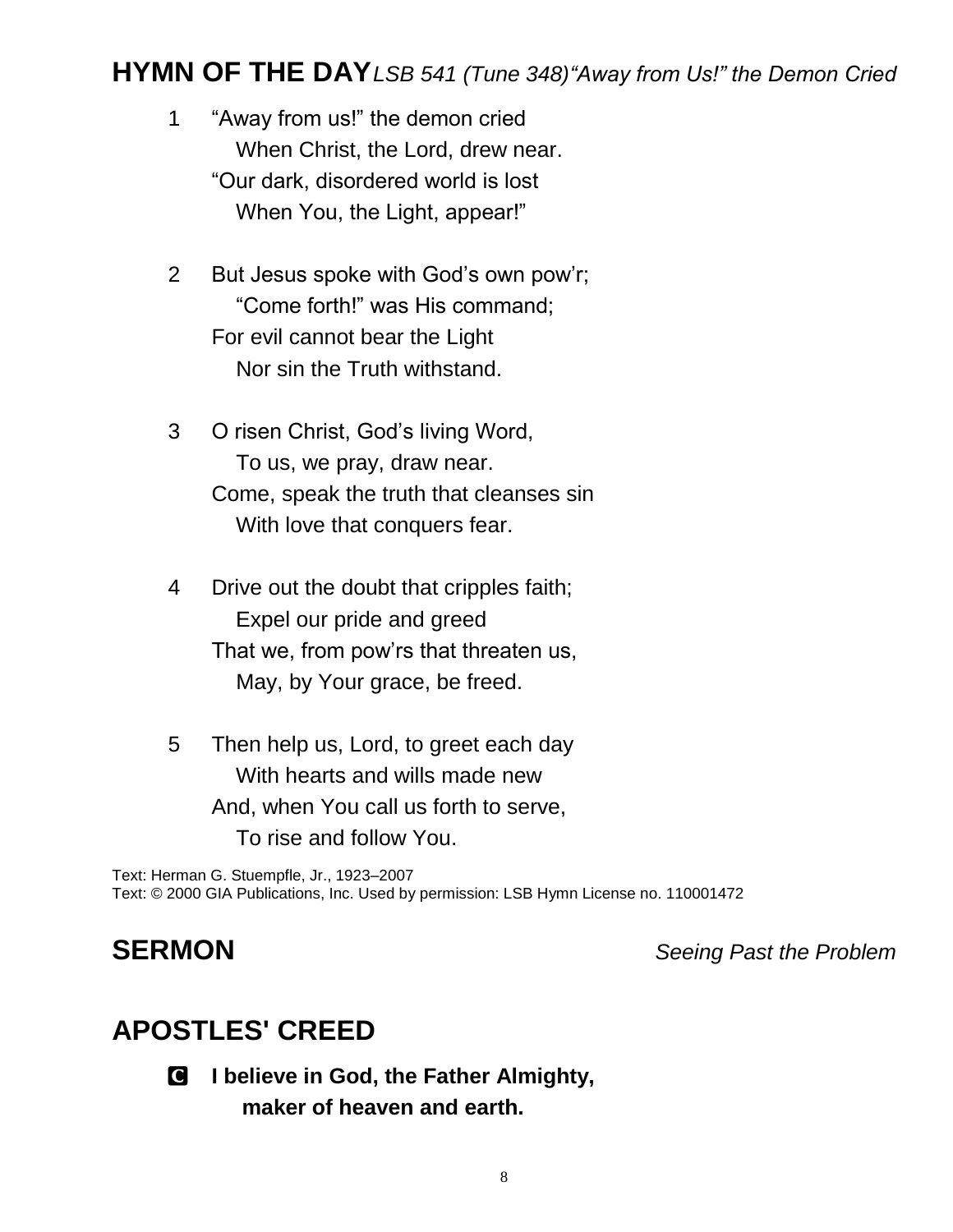### **HYMN OF THE DAY***LSB 541 (Tune 348)"Away from Us!" the Demon Cried*

- 1 "Away from us!" the demon cried When Christ, the Lord, drew near. "Our dark, disordered world is lost When You, the Light, appear!"
- 2 But Jesus spoke with God's own pow'r; "Come forth!" was His command; For evil cannot bear the Light Nor sin the Truth withstand.
- 3 O risen Christ, God's living Word, To us, we pray, draw near. Come, speak the truth that cleanses sin With love that conquers fear.
- 4 Drive out the doubt that cripples faith; Expel our pride and greed That we, from pow'rs that threaten us, May, by Your grace, be freed.
- 5 Then help us, Lord, to greet each day With hearts and wills made new And, when You call us forth to serve, To rise and follow You.

Text: Herman G. Stuempfle, Jr., 1923–2007 Text: © 2000 GIA Publications, Inc. Used by permission: LSB Hymn License no. 110001472

**SERMON** *Seeing Past the Problem*

# **APOSTLES' CREED**

C **I believe in God, the Father Almighty, maker of heaven and earth.**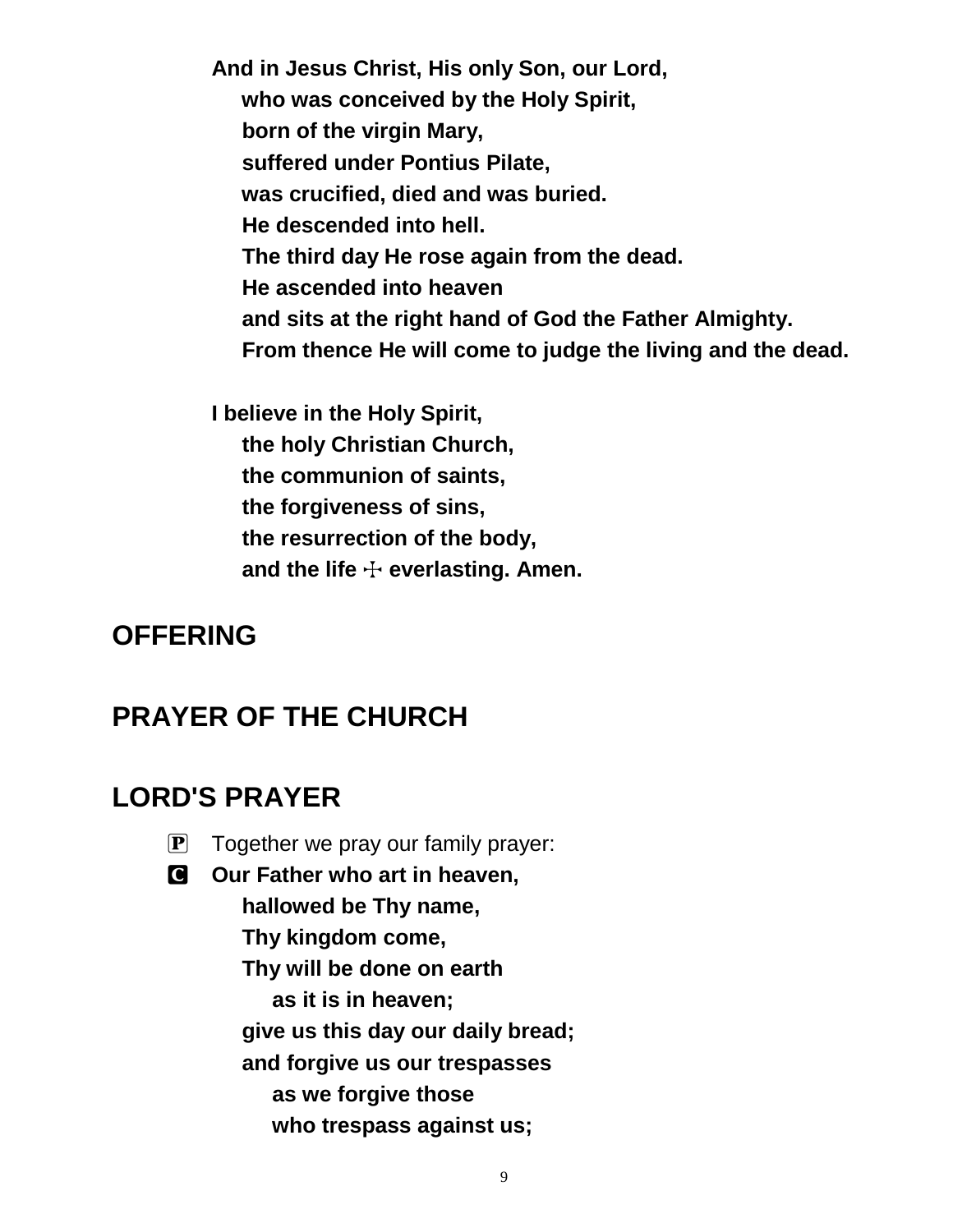**And in Jesus Christ, His only Son, our Lord, who was conceived by the Holy Spirit, born of the virgin Mary, suffered under Pontius Pilate, was crucified, died and was buried. He descended into hell. The third day He rose again from the dead. He ascended into heaven and sits at the right hand of God the Father Almighty. From thence He will come to judge the living and the dead.**

**I believe in the Holy Spirit, the holy Christian Church, the communion of saints, the forgiveness of sins, the resurrection of the body,** and the life  $\div$  everlasting. Amen.

## **OFFERING**

# **PRAYER OF THE CHURCH**

## **LORD'S PRAYER**

- $\mathbf{P}$  Together we pray our family prayer:
- C **Our Father who art in heaven, hallowed be Thy name, Thy kingdom come, Thy will be done on earth as it is in heaven; give us this day our daily bread; and forgive us our trespasses as we forgive those**
	- **who trespass against us;**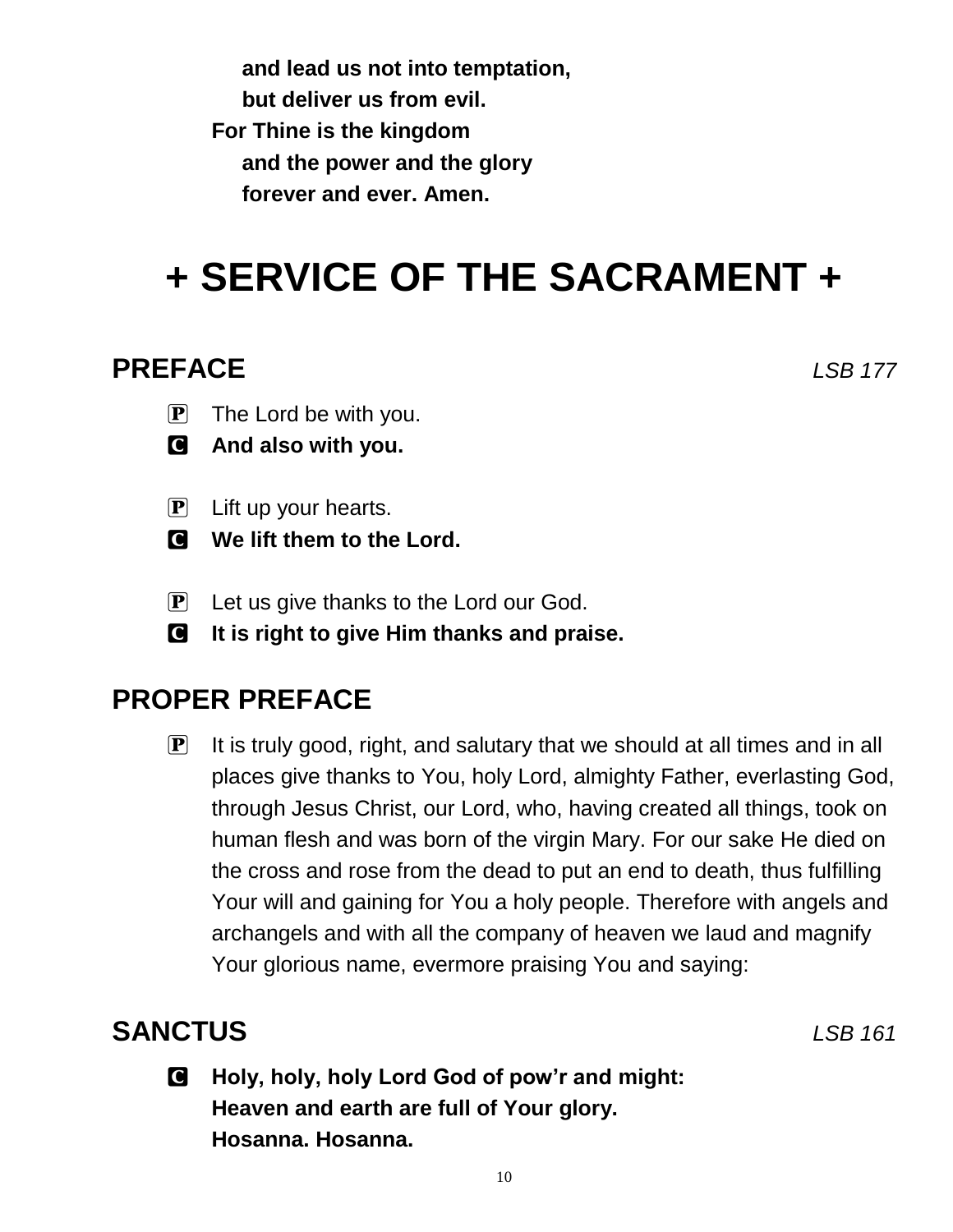**and lead us not into temptation, but deliver us from evil. For Thine is the kingdom and the power and the glory forever and ever. Amen.**

# **+ SERVICE OF THE SACRAMENT +**

### **PREFACE** *LSB 177*

- $\mathbf{P}$  The Lord be with you.
- C **And also with you.**
- $\left| \mathbf{P} \right|$  Lift up your hearts.
- C **We lift them to the Lord.**
- $\left| \mathbf{P} \right|$  Let us give thanks to the Lord our God.
- C **It is right to give Him thanks and praise.**

### **PROPER PREFACE**

 $\mathbf{P}$  It is truly good, right, and salutary that we should at all times and in all places give thanks to You, holy Lord, almighty Father, everlasting God, through Jesus Christ, our Lord, who, having created all things, took on human flesh and was born of the virgin Mary. For our sake He died on the cross and rose from the dead to put an end to death, thus fulfilling Your will and gaining for You a holy people. Therefore with angels and archangels and with all the company of heaven we laud and magnify Your glorious name, evermore praising You and saying:

## **SANCTUS** *LSB 161*

C **Holy, holy, holy Lord God of pow'r and might: Heaven and earth are full of Your glory. Hosanna. Hosanna.**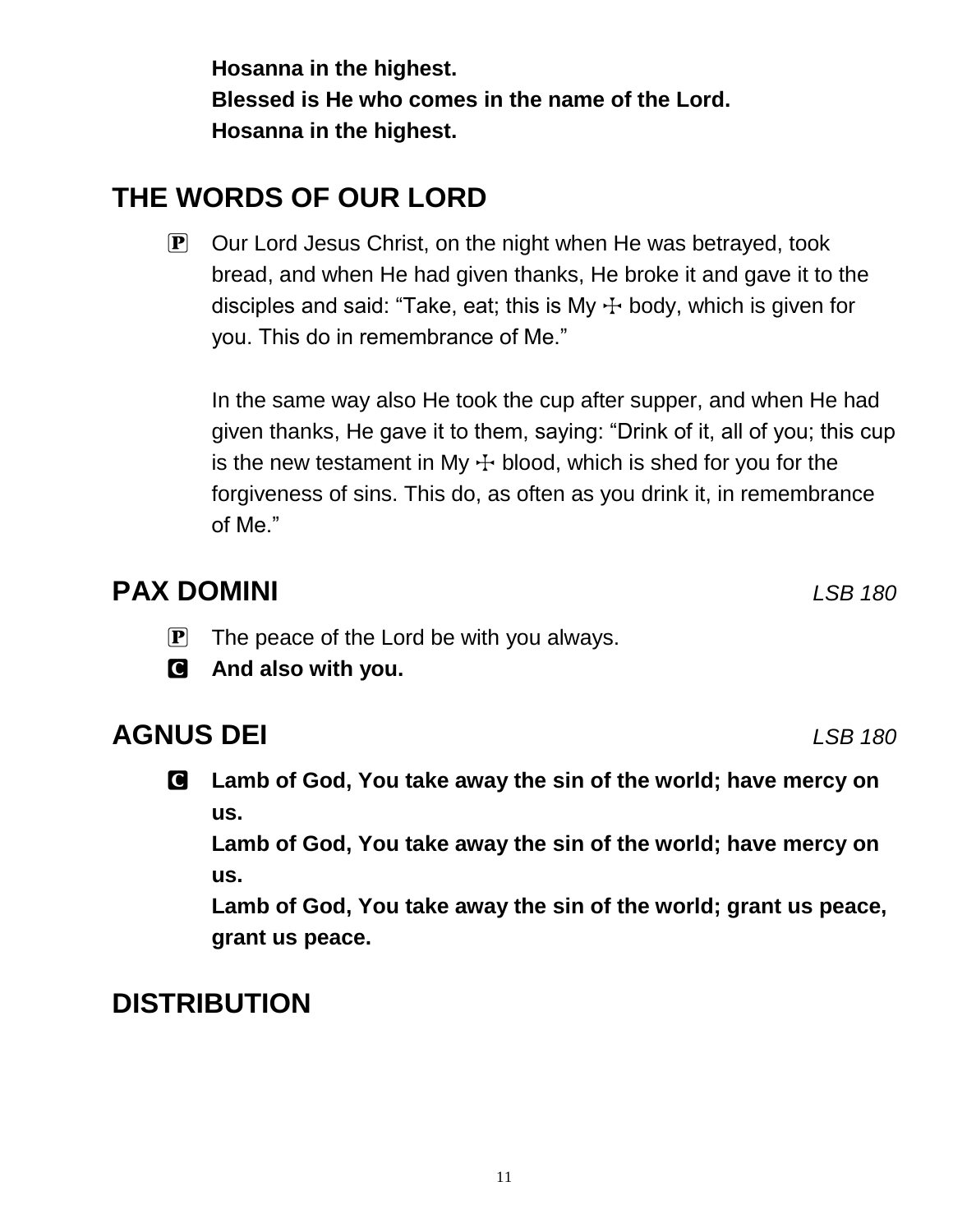**Hosanna in the highest. Blessed is He who comes in the name of the Lord. Hosanna in the highest.**

# **THE WORDS OF OUR LORD**

 $\mathbf{P}$  Our Lord Jesus Christ, on the night when He was betrayed, took bread, and when He had given thanks, He broke it and gave it to the disciples and said: "Take, eat; this is My  $\pm$  body, which is given for you. This do in remembrance of Me."

In the same way also He took the cup after supper, and when He had given thanks, He gave it to them, saying: "Drink of it, all of you; this cup is the new testament in My  $\pm$  blood, which is shed for you for the forgiveness of sins. This do, as often as you drink it, in remembrance of Me."

# **PAX DOMINI** *LSB 180*

- $\mathbf{P}$  The peace of the Lord be with you always.
- C **And also with you.**

# **AGNUS DEI** *LSB 180*

C **Lamb of God, You take away the sin of the world; have mercy on us.**

**Lamb of God, You take away the sin of the world; have mercy on us.**

**Lamb of God, You take away the sin of the world; grant us peace, grant us peace.**

# **DISTRIBUTION**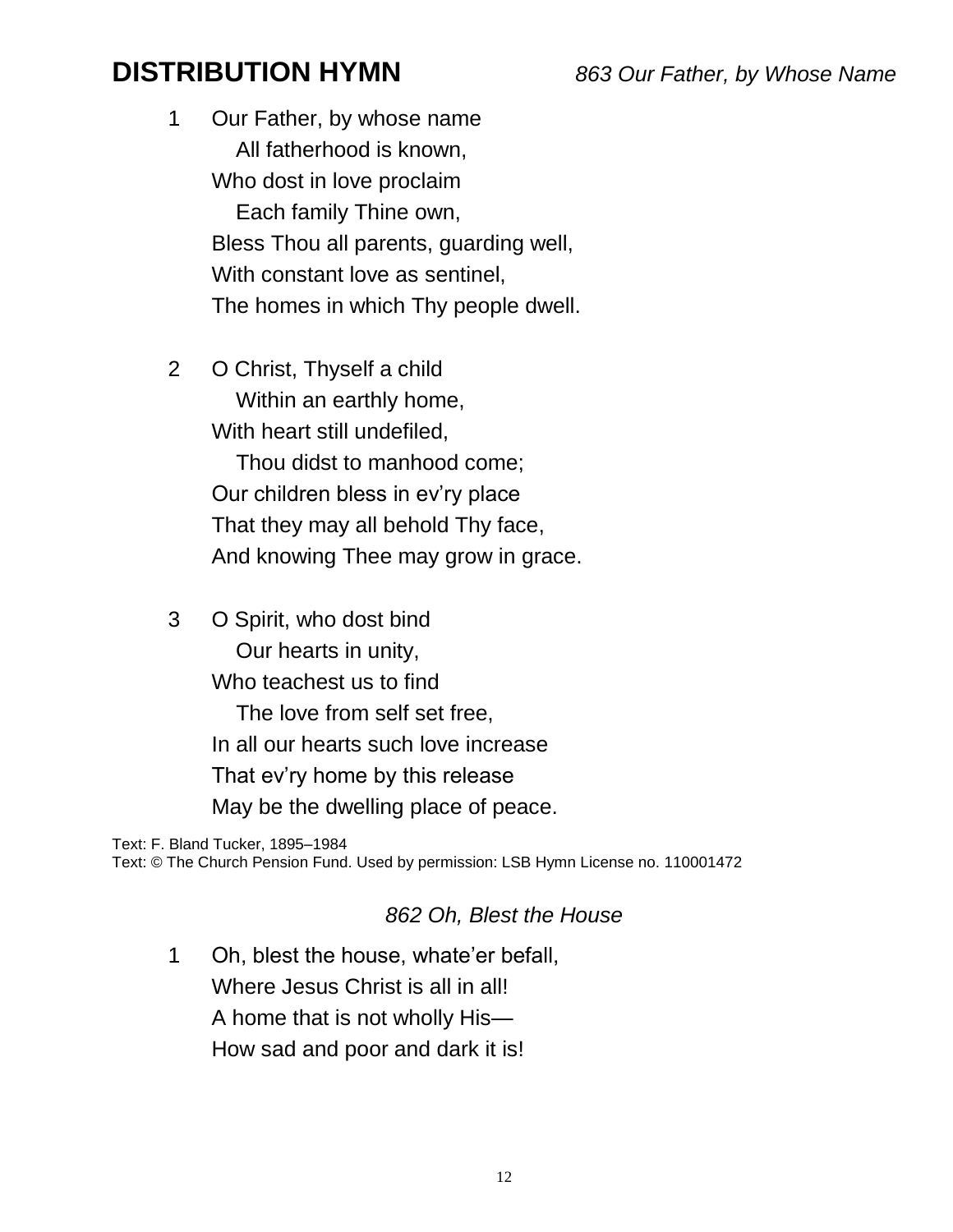## **DISTRIBUTION HYMN** *863 Our Father, by Whose Name*

1 Our Father, by whose name All fatherhood is known, Who dost in love proclaim Each family Thine own, Bless Thou all parents, guarding well, With constant love as sentinel, The homes in which Thy people dwell.

2 O Christ, Thyself a child Within an earthly home, With heart still undefiled,

> Thou didst to manhood come; Our children bless in ev'ry place That they may all behold Thy face, And knowing Thee may grow in grace.

3 O Spirit, who dost bind

 Our hearts in unity, Who teachest us to find The love from self set free, In all our hearts such love increase That ev'ry home by this release May be the dwelling place of peace.

Text: F. Bland Tucker, 1895–1984 Text: © The Church Pension Fund. Used by permission: LSB Hymn License no. 110001472

### *862 Oh, Blest the House*

1 Oh, blest the house, whate'er befall, Where Jesus Christ is all in all! A home that is not wholly His— How sad and poor and dark it is!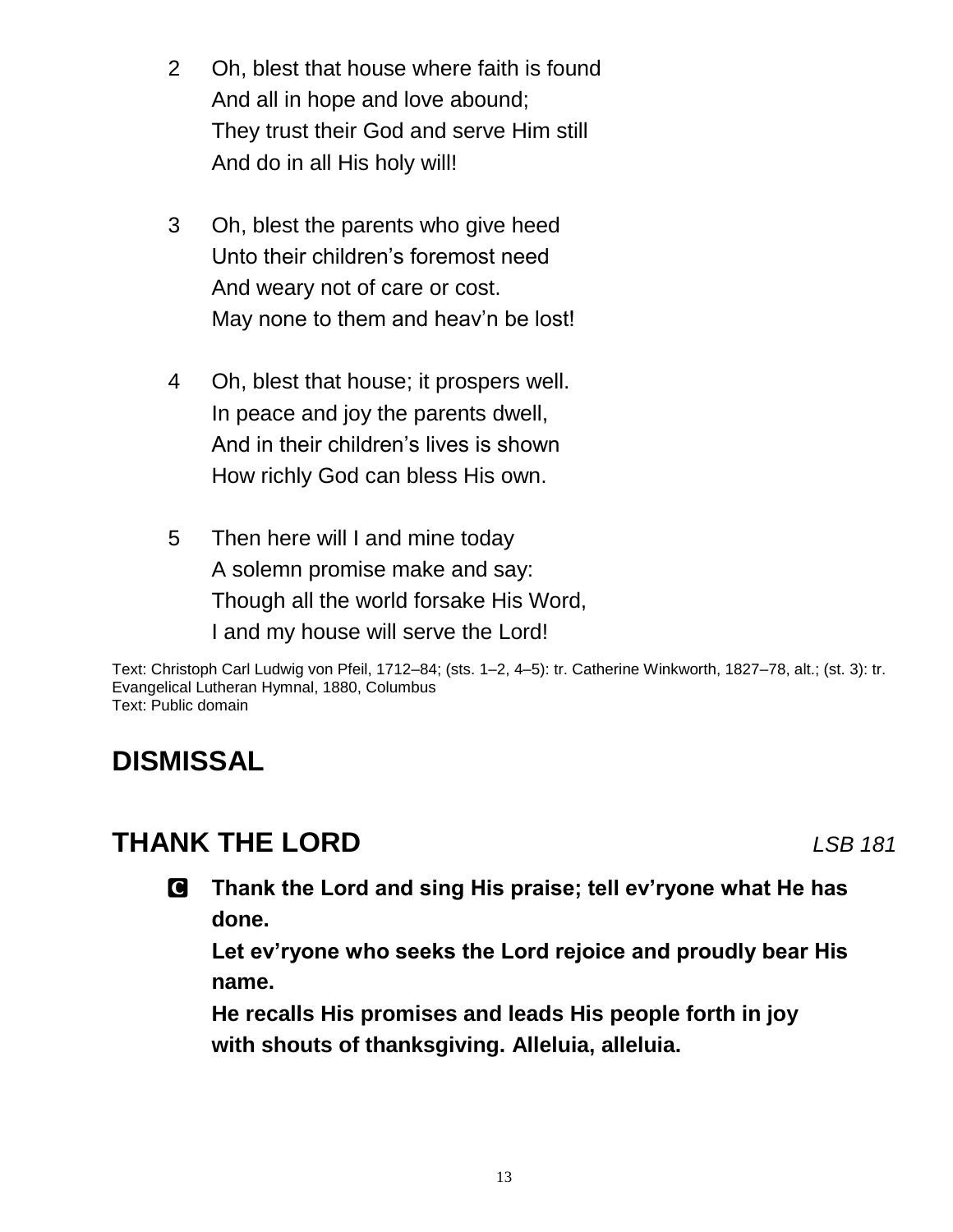- 2 Oh, blest that house where faith is found And all in hope and love abound; They trust their God and serve Him still And do in all His holy will!
- 3 Oh, blest the parents who give heed Unto their children's foremost need And weary not of care or cost. May none to them and heav'n be lost!
- 4 Oh, blest that house; it prospers well. In peace and joy the parents dwell, And in their children's lives is shown How richly God can bless His own.
- 5 Then here will I and mine today A solemn promise make and say: Though all the world forsake His Word, I and my house will serve the Lord!

Text: Christoph Carl Ludwig von Pfeil, 1712–84; (sts. 1–2, 4–5): tr. Catherine Winkworth, 1827–78, alt.; (st. 3): tr. Evangelical Lutheran Hymnal, 1880, Columbus Text: Public domain

# **DISMISSAL**

# **THANK THE LORD** *LSB 181*

C **Thank the Lord and sing His praise; tell ev'ryone what He has done.**

**Let ev'ryone who seeks the Lord rejoice and proudly bear His name.**

**He recalls His promises and leads His people forth in joy with shouts of thanksgiving. Alleluia, alleluia.**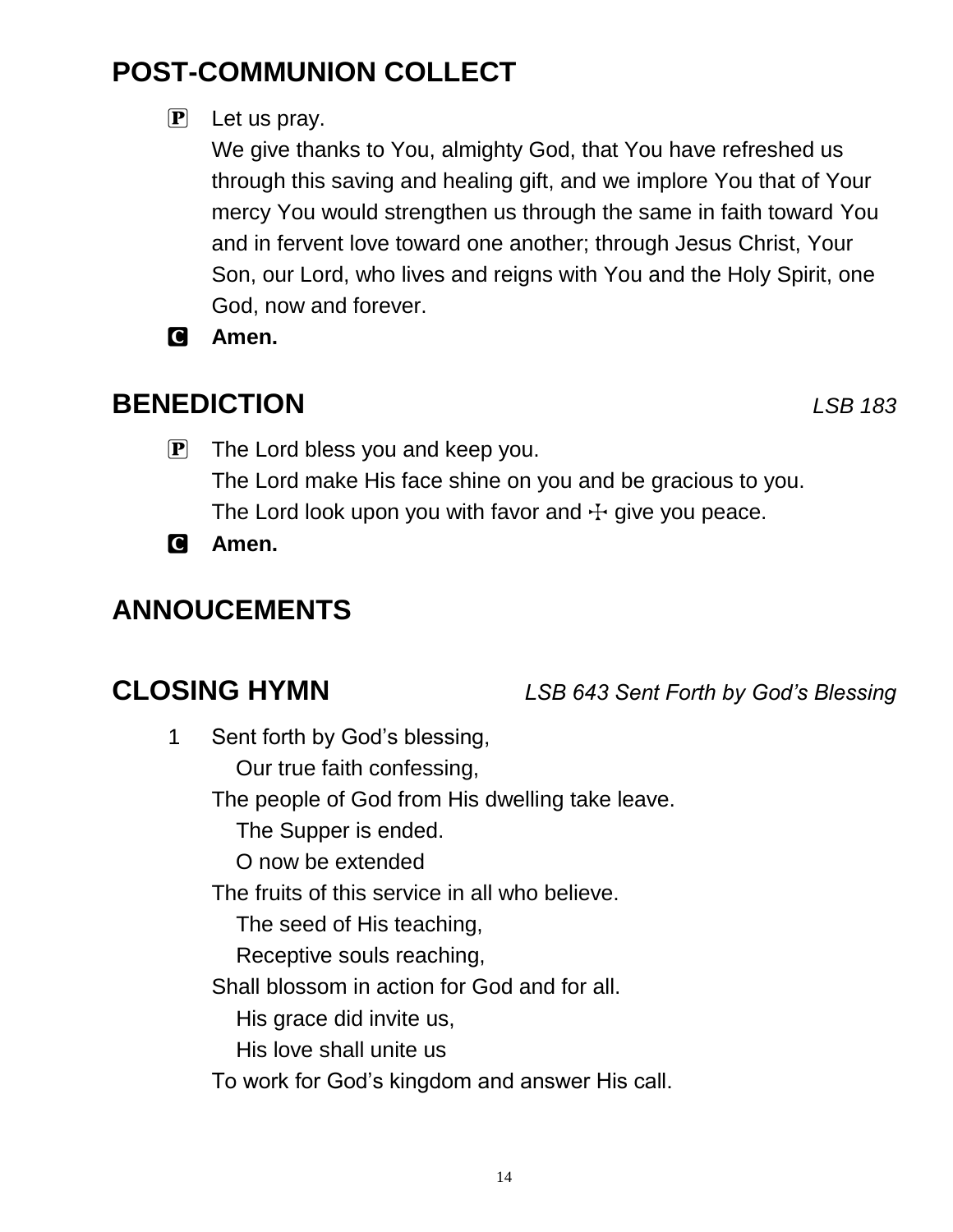# **POST-COMMUNION COLLECT**

### $\mathbf{P}$  Let us pray.

We give thanks to You, almighty God, that You have refreshed us through this saving and healing gift, and we implore You that of Your mercy You would strengthen us through the same in faith toward You and in fervent love toward one another; through Jesus Christ, Your Son, our Lord, who lives and reigns with You and the Holy Spirit, one God, now and forever.

C **Amen.**

# **BENEDICTION** *LSB 183*

- $\mathbf{P}$  The Lord bless you and keep you. The Lord make His face shine on you and be gracious to you. The Lord look upon you with favor and  $\pm$  give you peace.
- C **Amen.**

# **ANNOUCEMENTS**

**CLOSING HYMN** *LSB 643 Sent Forth by God's Blessing*

1 Sent forth by God's blessing, Our true faith confessing, The people of God from His dwelling take leave. The Supper is ended. O now be extended The fruits of this service in all who believe. The seed of His teaching, Receptive souls reaching, Shall blossom in action for God and for all. His grace did invite us, His love shall unite us To work for God's kingdom and answer His call.